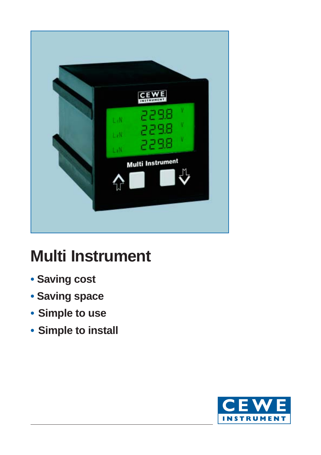

# **Multi Instrument**

- **Saving cost**
- **Saving space**
- **• Simple to use**
- **• Simple to install**

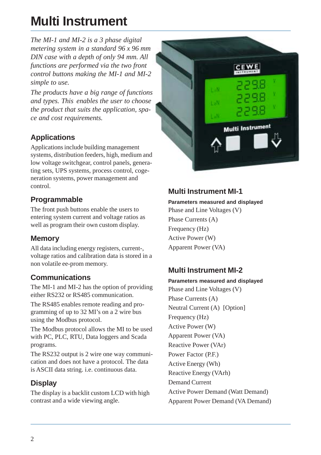# **Multi Instrument**

*The MI-1 and MI-2 is a 3 phase digital metering system in a standard 96 x 96 mm DIN case with a depth of only 94 mm. All functions are performed via the two front control buttons making the MI-1 and MI-2 simple to use.*

*The products have a big range of functions and types. This enables the user to choose the product that suits the application, space and cost requirements.*

## **Applications**

Applications include building management systems, distribution feeders, high, medium and low voltage switchgear, control panels, generating sets, UPS systems, process control, cogeneration systems, power management and control.

## **Programmable**

The front push buttons enable the users to entering system current and voltage ratios as well as program their own custom display.

## **Memory**

All data including energy registers, current-, voltage ratios and calibration data is stored in a non volatile ee-prom memory.

## **Communications**

The MI-1 and MI-2 has the option of providing either RS232 or RS485 communication.

The RS485 enables remote reading and programming of up to 32 MI's on a 2 wire bus using the Modbus protocol.

The Modbus protocol allows the MI to be used with PC, PLC, RTU, Data loggers and Scada programs.

The RS232 output is 2 wire one way communication and does not have a protocol. The data is ASCII data string. i.e. continuous data.

## **Display**

The display is a backlit custom LCD with high contrast and a wide viewing angle.



## **Multi Instrument MI-1**

#### **Parameters measured and displayed**

Phase and Line Voltages (V) Phase Currents (A) Frequency (Hz) Active Power (W) Apparent Power (VA)

## **Multi Instrument MI-2**

**Parameters measured and displayed** Phase and Line Voltages (V) Phase Currents (A) Neutral Current (A) [Option] Frequency (Hz) Active Power (W) Apparent Power (VA) Reactive Power (VAr) Power Factor (P.F.) Active Energy (Wh) Reactive Energy (VArh) Demand Current Active Power Demand (Watt Demand) Apparent Power Demand (VA Demand)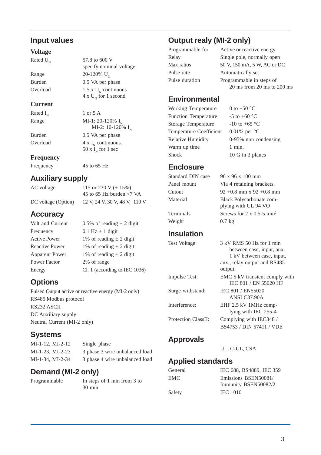#### **Input values**

#### **Voltage**

Rated  $U_{N}$  57.8 to 600 V

Range  $20-120\% \text{ U}_{\text{N}}$ Burden 0.5 VA per phase Overload  $1.5 \times U_N$  continuous

#### **Current**

Rated  $I_{N}$  1 or 5 A Range MI-1: 20-120%  $I_{N}$ 

Burden 0.5 VA per phase Overload  $4 \times I_{N}$  continuous.

**Frequency**

Frequency 45 to 65 Hz

#### **Auxiliary supply**

AC voltage 115 or 230 V  $(\pm 15\%)$ 45 to 65 Hz burden <7 VA DC voltage (Option) 12 V, 24 V, 30 V, 48 V, 110 V

## **Accuracy**

Volt and Current  $0.5\%$  of reading  $\pm 2$  digit Frequency 0.1 Hz  $\pm$  1 digit Active Power 1% of reading  $\pm 2$  digit Reactive Power 1% of reading  $\pm 2$  digit Apparent Power 1% of reading  $\pm 2$  digit Power Factor 2% of range Energy Cl. 1 (according to IEC 1036)

specify nominal voltage.

 $4 \times U_N$  for 1 second

50 x  $I_{N}$  for 1 sec

MI-2: 10-120%  $I_{N}$ 

# **Options**

Pulsed Output active or reactive energy (MI-2 only) RS485 Modbus protocol RS232 ASCII DC Auxiliary supply Neutral Current (MI-2 only)

# **Systems**

MI-1-12, MI-2-12 Single phase MI-1-23, MI-2-23 3 phase 3 wire unbalanced load MI-1-34, MI-2-34 3 phase 4 wire unbalanced load

# **Demand (MI-2 only)**

Programmable In steps of 1 min from 3 to 30 min

**Output realy (MI-2 only)**

Pulse rate **Automatically set** 

Programmable for Active or reactive energy Relay Single pole, normally open Max ratios 50 V, 150 mA, 5 W, AC or DC Pulse duration Programmable in steps of 20 ms from 20 ms to 200 ms

## **Environmental**

Working Temperature  $0$  to +50 °C Function Temperature  $-5$  to  $+60$  °C Storage Temperature  $-10$  to +65 °C Temperature Coefficient 0.01% per °C Relative Humidity 0-95% non condensing Warm up time 1 min. Shock 10 G in 3 planes

## **Enclosure**

Standard DIN case 96 x 96 x 100 mm Panel mount Via 4 retaining brackets. Cutout 92 +0.8 mm x 92 +0.8 mm Material Black Polycarbonate complying with UL 94 VO

Terminals Screws for  $2 \times 0.5$ -5 mm<sup>2</sup> Weight 0.7 kg

#### **Insulation**

Test Voltage: 3 kV RMS 50 Hz for 1 min between case, input, aux. 1 kV between case, input, aux., relay output and RS485 output. Impulse Test: EMC 5 kV transient comply with IEC 801 / EN 55020 HF Surge withstand: IEC 801 / EN55020 ANSI C37.90A Interference: EHF 2.5 kV 1MHz complying with IEC 255-4 Protection ClassII: Complying with IEC348 / BS4753 / DIN 57411 / VDE

## **Approvals**

UL, C-UL, CSA

## **Applied standards**

| General | IEC 688, BS4889, IEC 359 |  |  |
|---------|--------------------------|--|--|
| EMC.    | Emissions BSEN50081/     |  |  |
|         | Immunity BSEN50082/2     |  |  |
| Safety  | <b>IEC 1010</b>          |  |  |